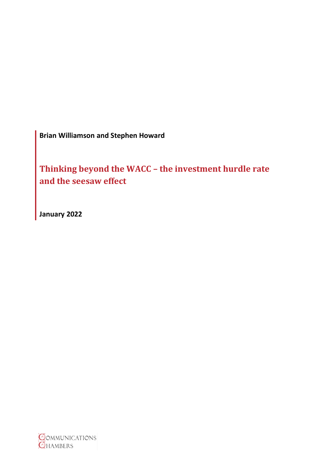**Brian Williamson and Stephen Howard**

**Thinking beyond the WACC – the investment hurdle rate and the seesaw effect**

**January 2022**

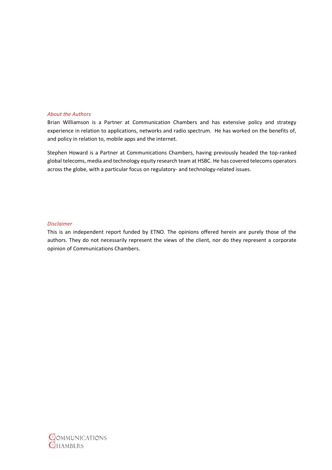#### *About the Authors*

Brian Williamson is a Partner at Communication Chambers and has extensive policy and strategy experience in relation to applications, networks and radio spectrum. He has worked on the benefits of, and policy in relation to, mobile apps and the internet.

Stephen Howard is a Partner at Communications Chambers, having previously headed the top-ranked global telecoms, media and technology equity research team at HSBC. He has covered telecoms operators across the globe, with a particular focus on regulatory- and technology-related issues.

#### *Disclaimer*

This is an independent report funded by ETNO. The opinions offered herein are purely those of the authors. They do not necessarily represent the views of the client, nor do they represent a corporate opinion of Communications Chambers.

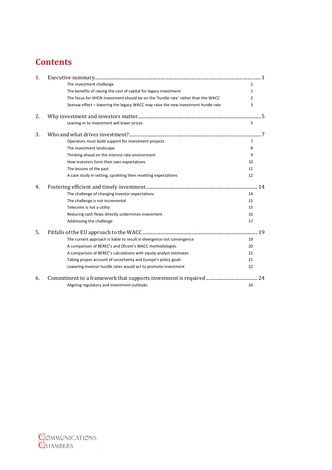# **Contents**

| 1. |                                                                                   |                |
|----|-----------------------------------------------------------------------------------|----------------|
|    | The investment challenge                                                          | $\mathbf{1}$   |
|    | The benefits of raising the cost of capital for legacy investment                 | 1              |
|    | The focus for VHCN investment should be on the 'hurdle rate' rather than the WACC | 2              |
|    | Seesaw effect - lowering the legacy WACC may raise the new investment hurdle rate | 3              |
| 2. |                                                                                   |                |
|    | Leaning-in to investment will lower prices                                        | 5              |
| 3. |                                                                                   |                |
|    | Operators must build support for investment projects                              | $\overline{7}$ |
|    | The investment landscape                                                          | 8              |
|    | Thinking ahead on the interest rate environment                                   | 9              |
|    | How investors form their own expectations                                         | 10             |
|    | The lessons of the past                                                           | 11             |
|    | A case study in setting, upsetting then resetting expectations                    | 12             |
| 4. |                                                                                   | .14            |
|    | The challenge of changing investor expectations                                   | 14             |
|    | The challenge is not incremental                                                  | 15             |
|    | Telecoms is not a utility                                                         | 15             |
|    | Reducing cash flows directly undermines investment                                | 16             |
|    | Addressing the challenge                                                          | 17             |
| 5. |                                                                                   |                |
|    | The current approach is liable to result in divergence not convergence            | 19             |
|    | A comparison of BEREC's and Ofcom's WACC methodologies                            | 20             |
|    | A comparison of BEREC's calculations with equity analyst estimates                | 21             |
|    | Taking proper account of uncertainty and Europe's policy goals                    | 21             |
|    | Lowering investor hurdle rates would act to promote investment                    | 22             |
| 6. |                                                                                   | 24             |
|    | Aligning regulatory and investment outlooks                                       | 24             |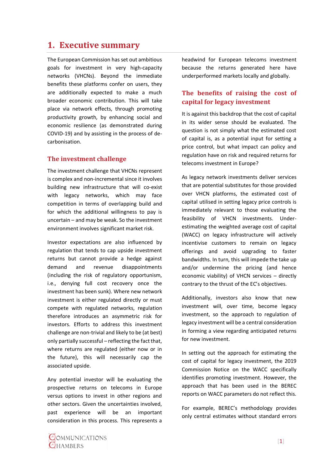## <span id="page-3-0"></span>**1. Executive summary**

The European Commission has set out ambitious goals for investment in very high-capacity networks (VHCNs). Beyond the immediate benefits these platforms confer on users, they are additionally expected to make a much broader economic contribution. This will take place via network effects, through promoting productivity growth, by enhancing social and economic resilience (as demonstrated during COVID-19) and by assisting in the process of decarbonisation.

#### <span id="page-3-1"></span>**The investment challenge**

The investment challenge that VHCNs represent is complex and non-incremental since it involves building new infrastructure that will co-exist with legacy networks, which may face competition in terms of overlapping build and for which the additional willingness to pay is uncertain – and may be weak. So the investment environment involves significant market risk.

Investor expectations are also influenced by regulation that tends to cap upside investment returns but cannot provide a hedge against demand and revenue disappointments (including the risk of regulatory opportunism, i.e., denying full cost recovery once the investment has been sunk). Where new network investment is either regulated directly or must compete with regulated networks, regulation therefore introduces an asymmetric risk for investors. Efforts to address this investment challenge are non-trivial and likely to be (at best) only partially successful – reflecting the fact that, where returns are regulated (either now or in the future), this will necessarily cap the associated upside.

Any potential investor will be evaluating the prospective returns on telecoms in Europe versus options to invest in other regions and other sectors. Given the uncertainties involved, past experience will be an important consideration in this process. This represents a headwind for European telecoms investment because the returns generated here have underperformed markets locally and globally.

#### <span id="page-3-2"></span>**The benefits of raising the cost of capital for legacy investment**

It is against this backdrop that the cost of capital in its wider sense should be evaluated. The question is not simply what the estimated cost of capital is, as a potential input for setting a price control, but what impact can policy and regulation have on risk and required returns for telecoms investment in Europe?

As legacy network investments deliver services that are potential substitutes for those provided over VHCN platforms, the estimated cost of capital utilised in setting legacy price controls is immediately relevant to those evaluating the feasibility of VHCN investments. Underestimating the weighted average cost of capital (WACC) on legacy infrastructure will actively incentivise customers to remain on legacy offerings and avoid upgrading to faster bandwidths. In turn, this will impede the take up and/or undermine the pricing (and hence economic viability) of VHCN services – directly contrary to the thrust of the EC's objectives.

Additionally, investors also know that new investment will, over time, become legacy investment, so the approach to regulation of legacy investment will be a central consideration in forming a view regarding anticipated returns for new investment.

In setting out the approach for estimating the cost of capital for legacy investment, the 2019 Commission Notice on the WACC specifically identifies promoting investment. However, the approach that has been used in the BEREC reports on WACC parameters do not reflect this.

For example, BEREC's methodology provides only central estimates without standard errors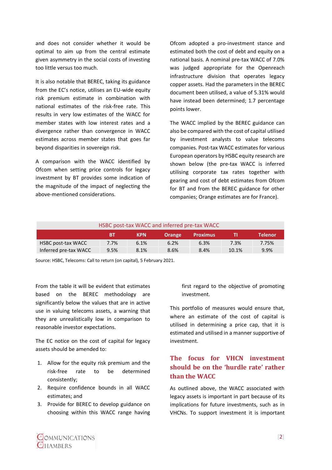and does not consider whether it would be optimal to aim up from the central estimate given asymmetry in the social costs of investing too little versus too much.

It is also notable that BEREC, taking its guidance from the EC's notice, utilises an EU-wide equity risk premium estimate in combination with national estimates of the risk-free rate. This results in very low estimates of the WACC for member states with low interest rates and a divergence rather than convergence in WACC estimates across member states that goes far beyond disparities in sovereign risk.

A comparison with the WACC identified by Ofcom when setting price controls for legacy investment by BT provides some indication of the magnitude of the impact of neglecting the above-mentioned considerations.

Ofcom adopted a pro-investment stance and estimated both the cost of debt and equity on a national basis. A nominal pre-tax WACC of 7.0% was judged appropriate for the Openreach infrastructure division that operates legacy copper assets. Had the parameters in the BEREC document been utilised, a value of 5.31% would have instead been determined; 1.7 percentage points lower.

The WACC implied by the BEREC guidance can also be compared with the cost of capital utilised by investment analysts to value telecoms companies. Post-tax WACC estimates for various European operators by HSBC equity research are shown below (the pre-tax WACC is inferred utilising corporate tax rates together with gearing and cost of debt estimates from Ofcom for BT and from the BEREC guidance for other companies; Orange estimates are for France).

| HSBC post-tax WACC and inferred pre-tax WACC |      |            |               |                 |       |                |  |  |  |  |
|----------------------------------------------|------|------------|---------------|-----------------|-------|----------------|--|--|--|--|
|                                              | ВT   | <b>KPN</b> | <b>Orange</b> | <b>Proximus</b> | TI    | <b>Telenor</b> |  |  |  |  |
| HSBC post-tax WACC                           | 7.7% | 6.1%       | 6.2%          | 6.3%            | 7.3%  | 7.75%          |  |  |  |  |
| Inferred pre-tax WACC                        | 9.5% | 8.1%       | 8.6%          | 8.4%            | 10.1% | 9.9%           |  |  |  |  |

Source: HSBC, Telecoms: Call to return (on capital), 5 February 2021.

From the table it will be evident that estimates based on the BEREC methodology are significantly below the values that are in active use in valuing telecoms assets, a warning that they are unrealistically low in comparison to reasonable investor expectations.

The EC notice on the cost of capital for legacy assets should be amended to:

- 1. Allow for the equity risk premium and the risk-free rate to be determined consistently;
- 2. Require confidence bounds in all WACC estimates; and
- 3. Provide for BEREC to develop guidance on choosing within this WACC range having

first regard to the objective of promoting investment.

This portfolio of measures would ensure that, where an estimate of the cost of capital is utilised in determining a price cap, that it is estimated and utilised in a manner supportive of investment.

## <span id="page-4-0"></span>**The focus for VHCN investment should be on the 'hurdle rate' rather than the WACC**

As outlined above, the WACC associated with legacy assets is important in part because of its implications for future investments, such as in VHCNs. To support investment it is important

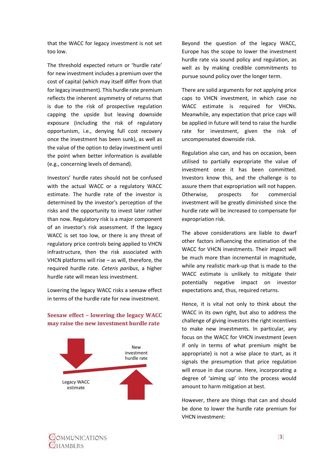that the WACC for legacy investment is not set too low.

The threshold expected return or 'hurdle rate' for new investment includes a premium over the cost of capital (which may itself differ from that for legacy investment). This hurdle rate premium reflects the inherent asymmetry of returns that is due to the risk of prospective regulation capping the upside but leaving downside exposure (including the risk of regulatory opportunism, i.e., denying full cost recovery once the investment has been sunk), as well as the value of the option to delay investment until the point when better information is available (e.g., concerning levels of demand).

Investors' hurdle rates should not be confused with the actual WACC or a regulatory WACC estimate. The hurdle rate of the investor is determined by the investor's perception of the risks and the opportunity to invest later rather than now. Regulatory risk is a major component of an investor's risk assessment. If the legacy WACC is set too low, or there is any threat of regulatory price controls being applied to VHCN infrastructure, then the risk associated with VHCN platforms will rise – as will, therefore, the required hurdle rate. *Ceteris paribus*, a higher hurdle rate will mean less investment.

Lowering the legacy WACC risks a seesaw effect in terms of the hurdle rate for new investment.

New investment hurdle rate Legacy WACC estimate

#### <span id="page-5-0"></span>**Seesaw effect – lowering the legacy WACC may raise the new investment hurdle rate**

Beyond the question of the legacy WACC, Europe has the scope to lower the investment hurdle rate via sound policy and regulation, as well as by making credible commitments to pursue sound policy over the longer term.

There are solid arguments for not applying price caps to VHCN investment, in which case no WACC estimate is required for VHCNs. Meanwhile, any expectation that price caps will be applied in future will tend to raise the hurdle rate for investment, given the risk of uncompensated downside risk.

Regulation also can, and has on occasion, been utilised to partially expropriate the value of investment once it has been committed. Investors know this, and the challenge is to assure them that expropriation will not happen. Otherwise, prospects for commercial investment will be greatly diminished since the hurdle rate will be increased to compensate for expropriation risk.

The above considerations are liable to dwarf other factors influencing the estimation of the WACC for VHCN investments. Their impact will be much more than incremental in magnitude, while any realistic mark-up that is made to the WACC estimate is unlikely to mitigate their potentially negative impact on investor expectations and, thus, required returns.

Hence, it is vital not only to think about the WACC in its own right, but also to address the challenge of giving investors the right incentives to make new investments. In particular, any focus on the WACC for VHCN investment (even if only in terms of what premium might be appropriate) is not a wise place to start, as it signals the presumption that price regulation will ensue in due course. Here, incorporating a degree of 'aiming up' into the process would amount to harm mitigation at best.

However, there are things that can and should be done to lower the hurdle rate premium for VHCN investment: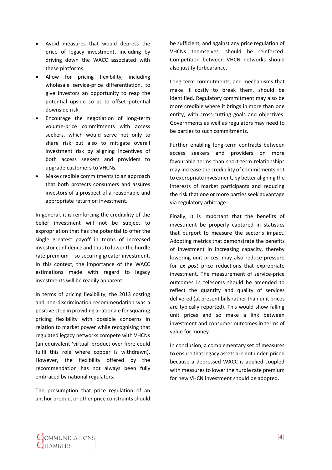- Avoid measures that would depress the price of legacy investment, including by driving down the WACC associated with these platforms.
- Allow for pricing flexibility, including wholesale service-price differentiation, to give investors an opportunity to reap the potential upside so as to offset potential downside risk.
- Encourage the negotiation of long-term volume-price commitments with access seekers, which would serve not only to share risk but also to mitigate overall investment risk by aligning incentives of both access seekers and providers to upgrade customers to VHCNs.
- Make credible commitments to an approach that both protects consumers and assures investors of a prospect of a reasonable and appropriate return on investment.

In general, it is reinforcing the credibility of the belief investment will not be subject to expropriation that has the potential to offer the single greatest payoff in terms of increased investor confidence and thus to lower the hurdle rate premium – so securing greater investment. In this context, the importance of the WACC estimations made with regard to legacy investments will be readily apparent.

In terms of pricing flexibility, the 2013 costing and non-discrimination recommendation was a positive step in providing a rationale for squaring pricing flexibility with possible concerns in relation to market power while recognising that regulated legacy networks compete with VHCNs (an equivalent 'virtual' product over fibre could fulfil this role where copper is withdrawn). However, the flexibility offered by the recommendation has not always been fully embraced by national regulators.

The presumption that price regulation of an anchor product or other price constraints should be sufficient, and against any price regulation of VHCNs themselves, should be reinforced. Competition between VHCN networks should also justify forbearance.

Long-term commitments, and mechanisms that make it costly to break them, should be identified. Regulatory commitment may also be more credible where it brings in more than one entity, with cross-cutting goals and objectives. Governments as well as regulators may need to be parties to such commitments.

Further enabling long-term contracts between access seekers and providers on more favourable terms than short-term relationships may increase the credibility of commitments not to expropriate investment, by better aligning the interests of market participants and reducing the risk that one or more parties seek advantage via regulatory arbitrage.

Finally, it is important that the benefits of investment be properly captured in statistics that purport to measure the sector's impact. Adopting metrics that demonstrate the benefits of investment in increasing capacity, thereby lowering unit prices, may also reduce pressure for *ex post* price reductions that expropriate investment. The measurement of service-price outcomes in telecoms should be amended to reflect the quantity and quality of services delivered (at present bills rather than unit prices are typically reported). This would show falling unit prices and so make a link between investment and consumer outcomes in terms of value for money.

In conclusion, a complementary set of measures to ensure that legacy assets are not under-priced because a depressed WACC is applied coupled with measures to lower the hurdle rate premium for new VHCN investment should be adopted.

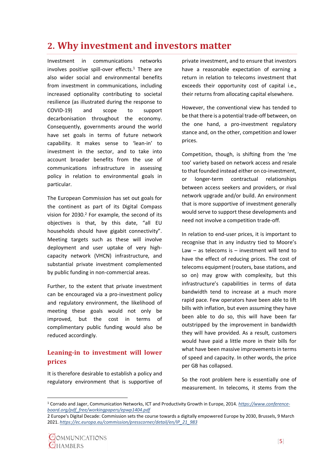## <span id="page-7-0"></span>**2. Why investment and investors matter**

Investment in communications networks involves positive spill-over effects. <sup>1</sup> There are also wider social and environmental benefits from investment in communications, including increased optionality contributing to societal resilience (as illustrated during the response to COVID-19) and scope to support decarbonisation throughout the economy. Consequently, governments around the world have set goals in terms of future network capability. It makes sense to 'lean-in' to investment in the sector, and to take into account broader benefits from the use of communications infrastructure in assessing policy in relation to environmental goals in particular.

The European Commission has set out goals for the continent as part of its Digital Compass vision for  $2030.<sup>2</sup>$  For example, the second of its objectives is that, by this date, "all EU households should have gigabit connectivity". Meeting targets such as these will involve deployment and user uptake of very highcapacity network (VHCN) infrastructure, and substantial private investment complemented by public funding in non-commercial areas.

Further, to the extent that private investment can be encouraged via a pro-investment policy and regulatory environment, the likelihood of meeting these goals would not only be improved, but the cost in terms of complimentary public funding would also be reduced accordingly.

### <span id="page-7-1"></span>**Leaning-in to investment will lower prices**

It is therefore desirable to establish a policy and regulatory environment that is supportive of private investment, and to ensure that investors have a reasonable expectation of earning a return in relation to telecoms investment that exceeds their opportunity cost of capital i.e., their returns from allocating capital elsewhere.

However, the conventional view has tended to be that there is a potential trade-off between, on the one hand, a pro-investment regulatory stance and, on the other, competition and lower prices.

Competition, though, is shifting from the 'me too' variety based on network access and resale to that founded instead either on co-investment, or longer-term contractual relationships between access seekers and providers, or rival network upgrade and/or build. An environment that is more supportive of investment generally would serve to support these developments and need not involve a competition trade-off.

In relation to end-user prices, it is important to recognise that in any industry tied to Moore's Law  $-$  as telecoms is  $-$  investment will tend to have the effect of reducing prices. The cost of telecoms equipment (routers, base stations, and so on) may grow with complexity, but this infrastructure's capabilities in terms of data bandwidth tend to increase at a much more rapid pace. Few operators have been able to lift bills with inflation, but even assuming they have been able to do so, this will have been far outstripped by the improvement in bandwidth they will have provided. As a result, customers would have paid a little more in their bills for what have been massive improvements in terms of speed and capacity. In other words, the price per GB has collapsed.

So the root problem here is essentially one of measurement. In telecoms, it stems from the

<sup>1</sup> Corrado and Jager, Communication Networks, ICT and Productivity Growth in Europe, 2014. *[https://www.conference](https://www.conference-board.org/pdf_free/workingpapers/epwp1404.pdf)[board.org/pdf\\_free/workingpapers/epwp1404.pdf](https://www.conference-board.org/pdf_free/workingpapers/epwp1404.pdf)*

<sup>2</sup> Europe's Digital Decade: Commission sets the course towards a digitally empowered Europe by 2030, Brussels, 9 March 2021. *[https://ec.europa.eu/commission/presscorner/detail/en/IP\\_21\\_983](https://ec.europa.eu/commission/presscorner/detail/en/IP_21_983)*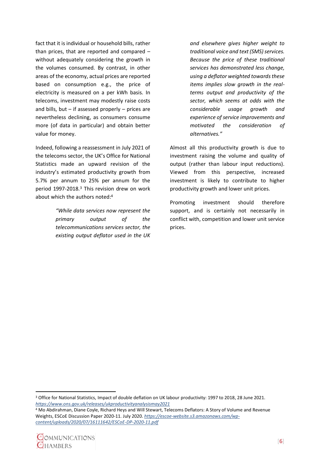fact that it is individual or household bills, rather than prices, that are reported and compared – without adequately considering the growth in the volumes consumed. By contrast, in other areas of the economy, actual prices are reported based on consumption e.g., the price of electricity is measured on a per kWh basis. In telecoms, investment may modestly raise costs and bills, but  $-$  if assessed properly  $-$  prices are nevertheless declining, as consumers consume more (of data in particular) and obtain better value for money.

Indeed, following a reassessment in July 2021 of the telecoms sector, the UK's Office for National Statistics made an upward revision of the industry's estimated productivity growth from 5.7% per annum to 25% per annum for the period 1997-2018. <sup>3</sup> This revision drew on work about which the authors noted: 4

> *"While data services now represent the primary output of the telecommunications services sector, the existing output deflator used in the UK*

*and elsewhere gives higher weight to traditional voice and text (SMS) services. Because the price of these traditional services has demonstrated less change, using a deflator weighted towards these items implies slow growth in the realterms output and productivity of the sector, which seems at odds with the considerable usage growth and experience of service improvements and motivated the consideration of alternatives."*

Almost all this productivity growth is due to investment raising the volume and quality of output (rather than labour input reductions). Viewed from this perspective, increased investment is likely to contribute to higher productivity growth and lower unit prices.

Promoting investment should therefore support, and is certainly not necessarily in conflict with, competition and lower unit service prices.

<sup>4</sup> Mo Abdirahman, Diane Coyle, Richard Heys and Will Stewart, Telecoms Deflators: A Story of Volume and Revenue Weights, ESCoE Discussion Paper 2020-11. July 2020. *[https://escoe-website.s3.amazonaws.com/wp](https://escoe-website.s3.amazonaws.com/wp-content/uploads/2020/07/16111642/ESCoE-DP-2020-11.pdf)[content/uploads/2020/07/16111642/ESCoE-DP-2020-11.pdf](https://escoe-website.s3.amazonaws.com/wp-content/uploads/2020/07/16111642/ESCoE-DP-2020-11.pdf)*



<sup>3</sup> Office for National Statistics, Impact of double deflation on UK labour productivity: 1997 to 2018, 28 June 2021. *<https://www.ons.gov.uk/releases/ukproductivityanalysismay2021>*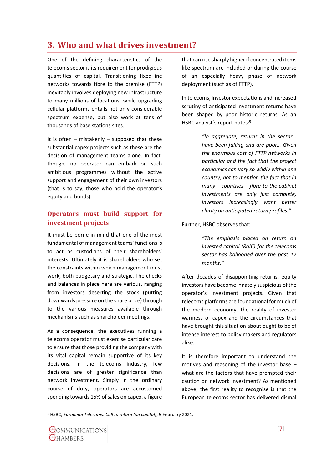## <span id="page-9-0"></span>**3. Who and what drives investment?**

One of the defining characteristics of the telecoms sector is its requirement for prodigious quantities of capital. Transitioning fixed-line networks towards fibre to the premise (FTTP) inevitably involves deploying new infrastructure to many millions of locations, while upgrading cellular platforms entails not only considerable spectrum expense, but also work at tens of thousands of base stations sites.

It is often  $-$  mistakenly  $-$  supposed that these substantial capex projects such as these are the decision of management teams alone. In fact, though, no operator can embark on such ambitious programmes without the active support and engagement of their own investors (that is to say, those who hold the operator's equity and bonds).

#### <span id="page-9-1"></span>**Operators must build support for investment projects**

It must be borne in mind that one of the most fundamental of management teams' functionsis to act as custodians of their shareholders' interests. Ultimately it is shareholders who set the constraints within which management must work, both budgetary and strategic. The checks and balances in place here are various, ranging from investors deserting the stock (putting downwards pressure on the share price) through to the various measures available through mechanisms such as shareholder meetings.

As a consequence, the executives running a telecoms operator must exercise particular care to ensure that those providing the company with its vital capital remain supportive of its key decisions. In the telecoms industry, few decisions are of greater significance than network investment. Simply in the ordinary course of duty, operators are accustomed spending towards 15% of sales on capex, a figure

that can rise sharply higher if concentrated items like spectrum are included or during the course of an especially heavy phase of network deployment (such as of FTTP).

In telecoms, investor expectations and increased scrutiny of anticipated investment returns have been shaped by poor historic returns. As an HSBC analyst's report notes: 5

> *"In aggregate, returns in the sector… have been falling and are poor… Given the enormous cost of FTTP networks in particular and the fact that the project economics can vary so wildly within one country, not to mention the fact that in many countries fibre-to-the-cabinet investments are only just complete, investors increasingly want better clarity on anticipated return profiles."*

#### Further, HSBC observes that:

*"The emphasis placed on return on invested capital (RoIC) for the telecoms sector has ballooned over the past 12 months."*

After decades of disappointing returns, equity investors have become innately suspicious of the operator's investment projects. Given that telecoms platforms are foundational for much of the modern economy, the reality of investor wariness of capex and the circumstances that have brought this situation about ought to be of intense interest to policy makers and regulators alike.

It is therefore important to understand the motives and reasoning of the investor base – what are the factors that have prompted their caution on network investment? As mentioned above, the first reality to recognise is that the European telecoms sector has delivered dismal

<sup>5</sup> HSBC, *European Telecoms: Call to return (on capital)*, 5 February 2021.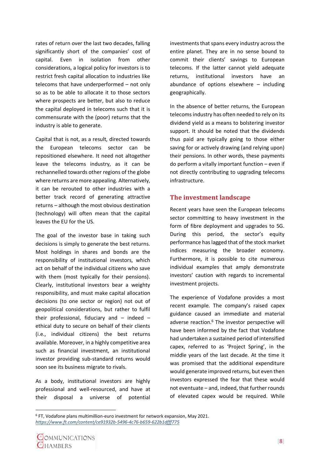rates of return over the last two decades, falling significantly short of the companies' cost of capital. Even in isolation from other considerations, a logical policy for investors is to restrict fresh capital allocation to industries like telecoms that have underperformed – not only so as to be able to allocate it to those sectors where prospects are better, but also to reduce the capital deployed in telecoms such that it is commensurate with the (poor) returns that the industry is able to generate.

Capital that is not, as a result, directed towards the European telecoms sector can be repositioned elsewhere. It need not altogether leave the telecoms industry, as it can be rechannelled towards other regions of the globe where returns are more appealing. Alternatively, it can be rerouted to other industries with a better track record of generating attractive returns – although the most obvious destination (technology) will often mean that the capital leaves the EU for the US.

The goal of the investor base in taking such decisions is simply to generate the best returns. Most holdings in shares and bonds are the responsibility of institutional investors, which act on behalf of the individual citizens who save with them (most typically for their pensions). Clearly, institutional investors bear a weighty responsibility, and must make capital allocation decisions (to one sector or region) not out of geopolitical considerations, but rather to fulfil their professional, fiduciary and  $-$  indeed  $$ ethical duty to secure on behalf of their clients (i.e., individual citizens) the best returns available. Moreover, in a highly competitive area such as financial investment, an institutional investor providing sub-standard returns would soon see its business migrate to rivals.

As a body, institutional investors are highly professional and well-resourced, and have at their disposal a universe of potential

investments that spans every industry across the entire planet. They are in no sense bound to commit their clients' savings to European telecoms. If the latter cannot yield adequate returns, institutional investors have an abundance of options elsewhere  $-$  including geographically.

In the absence of better returns, the European telecoms industry has often needed to rely on its dividend yield as a means to bolstering investor support. It should be noted that the dividends thus paid are typically going to those either saving for or actively drawing (and relying upon) their pensions. In other words, these payments do perform a vitally important function – even if not directly contributing to upgrading telecoms infrastructure.

#### <span id="page-10-0"></span>**The investment landscape**

Recent years have seen the European telecoms sector committing to heavy investment in the form of fibre deployment and upgrades to 5G. During this period, the sector's equity performance has lagged that of the stock market indices measuring the broader economy. Furthermore, it is possible to cite numerous individual examples that amply demonstrate investors' caution with regards to incremental investment projects.

The experience of Vodafone provides a most recent example. The company's raised capex guidance caused an immediate and material adverse reaction.<sup>6</sup> The investor perspective will have been informed by the fact that Vodafone had undertaken a sustained period of intensified capex, referred to as 'Project Spring', in the middle years of the last decade. At the time it was promised that the additional expenditure would generate improved returns, but even then investors expressed the fear that these would not eventuate – and, indeed, that further rounds of elevated capex would be required. While

<sup>6</sup> FT, Vodafone plans multimillion-euro investment for network expansion, May 2021. *<https://www.ft.com/content/ce91932b-5496-4c76-b659-622b1dfff775>*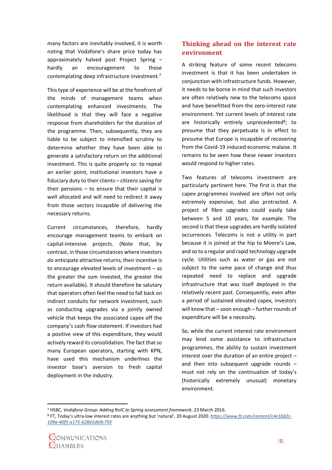many factors are inevitably involved, it is worth noting that Vodafone's share price today has approximately halved post Project Spring – hardly an encouragement to those contemplating deep infrastructure investment.<sup>7</sup>

This type of experience will be at the forefront of the minds of management teams when contemplating enhanced investments. The likelihood is that they will face a negative response from shareholders for the duration of the programme. Then, subsequently, they are liable to be subject to intensified scrutiny to determine whether they have been able to generate a satisfactory return on the additional investment. This is quite properly so: to repeat an earlier point, institutional investors have a fiduciary duty to their clients – citizens saving for their pensions  $-$  to ensure that their capital is well allocated and will need to redirect it away from those sectors incapable of delivering the necessary returns.

Current circumstances, therefore, hardly encourage management teams to embark on capital-intensive projects. (Note that, by contrast, in those circumstances where investors *do* anticipate attractive returns, their incentive is to encourage *elevated* levels of investment – as the greater the sum invested, the greater the return available). It should therefore be salutary that operators often feel the need to fall back on indirect conduits for network investment, such as conducting upgrades via a jointly owned vehicle that keeps the associated capex off the company's cash flow statement. If investors had a positive view of this expenditure, they would actively reward its consolidation. The fact that so many European operators, starting with KPN, have used this mechanism underlines the investor base's aversion to fresh capital deployment in the industry.

### <span id="page-11-0"></span>**Thinking ahead on the interest rate environment**

A striking feature of some recent telecoms investment is that it has been undertaken in conjunction with infrastructure funds. However, it needs to be borne in mind that such investors are often relatively new to the telecoms space and have benefitted from the zero-interest rate environment. Yet current levels of interest rate are historically entirely unprecedented<sup>8</sup>; to presume that they perpetuate is in effect to presume that Europe is incapable of recovering from the Covid-19 induced economic malaise. It remains to be seen how these newer investors would respond to higher rates.

Two features of telecoms investment are particularly pertinent here. The first is that the capex programmes involved are often not only extremely expensive, but also protracted. A project of fibre upgrades could easily take between 5 and 10 years, for example. The second is that these upgrades are hardly isolated occurrences. Telecoms is not a utility in part because it is joined at the hip to Moore's Law, and so to a regular and rapid technology upgrade cycle. Utilities such as water or gas are not subject to the same pace of change and thus repeated need to replace and upgrade infrastructure that was itself deployed in the relatively recent past. Consequently, even after a period of sustained elevated capex, investors will know that – soon enough – further rounds of expenditure will be a necessity.

So, while the current interest rate environment may lend some assistance to infrastructure programmes, the ability to sustain investment interest over the duration of an entire project – and then into subsequent upgrade rounds – must not rely on the continuation of today's (historically extremely unusual) monetary environment.

<sup>7</sup> HSBC*, Vodafone Group: Adding RoIC to Spring assessment framework*, 23 March 2016.

<sup>8</sup> FT, Today's ultra-low interest rates are anything but 'natural', 20 August 2020. *[https://www.ft.com/content/c4e10d2c-](https://www.ft.com/content/c4e10d2c-109a-40f5-a175-628d1db9c793)[109a-40f5-a175-628d1db9c793](https://www.ft.com/content/c4e10d2c-109a-40f5-a175-628d1db9c793)*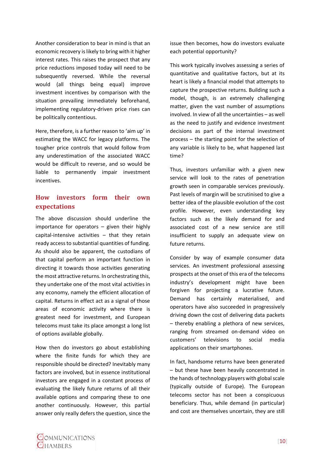Another consideration to bear in mind is that an economic recovery is likely to bring with it higher interest rates. This raises the prospect that any price reductions imposed today will need to be subsequently reversed. While the reversal would (all things being equal) improve investment incentives by comparison with the situation prevailing immediately beforehand, implementing regulatory-driven price rises can be politically contentious.

Here, therefore, is a further reason to 'aim up' in estimating the WACC for legacy platforms. The tougher price controls that would follow from any underestimation of the associated WACC would be difficult to reverse, and so would be liable to permanently impair investment incentives.

#### <span id="page-12-0"></span>**How investors form their own expectations**

The above discussion should underline the importance for operators – given their highly capital-intensive activities  $-$  that they retain ready access to substantial quantities of funding. As should also be apparent, the custodians of that capital perform an important function in directing it towards those activities generating the most attractive returns. In orchestrating this, they undertake one of the most vital activities in any economy, namely the efficient allocation of capital. Returns in effect act as a signal of those areas of economic activity where there is greatest need for investment, and European telecoms must take its place amongst a long list of options available globally.

How then do investors go about establishing where the finite funds for which they are responsible should be directed? Inevitably many factors are involved, but in essence institutional investors are engaged in a constant process of evaluating the likely future returns of all their available options and comparing these to one another continuously. However, this partial answer only really defers the question, since the

issue then becomes, how do investors evaluate each potential opportunity?

This work typically involves assessing a series of quantitative and qualitative factors, but at its heart is likely a financial model that attempts to capture the prospective returns. Building such a model, though, is an extremely challenging matter, given the vast number of assumptions involved. In view of all the uncertainties – as well as the need to justify and evidence investment decisions as part of the internal investment process – the starting point for the selection of any variable is likely to be, what happened last time?

Thus, investors unfamiliar with a given new service will look to the rates of penetration growth seen in comparable services previously. Past levels of margin will be scrutinised to give a better idea of the plausible evolution of the cost profile. However, even understanding key factors such as the likely demand for and associated cost of a new service are still insufficient to supply an adequate view on future returns.

Consider by way of example consumer data services. An investment professional assessing prospects at the onset of this era of the telecoms industry's development might have been forgiven for projecting a lucrative future. Demand has certainly materialised, and operators have also succeeded in progressively driving down the cost of delivering data packets – thereby enabling a plethora of new services, ranging from streamed on-demand video on customers' televisions to social media applications on their smartphones.

In fact, handsome returns have been generated – but these have been heavily concentrated in the hands of technology players with global scale (typically outside of Europe). The European telecoms sector has not been a conspicuous beneficiary. Thus, while demand (in particular) and cost are themselves uncertain, they are still

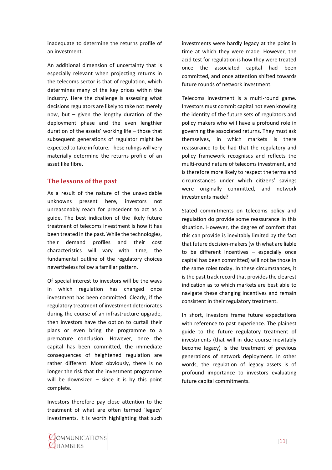inadequate to determine the returns profile of an investment.

An additional dimension of uncertainty that is especially relevant when projecting returns in the telecoms sector is that of regulation, which determines many of the key prices within the industry. Here the challenge is assessing what decisions regulators are likely to take not merely now, but – given the lengthy duration of the deployment phase and the even lengthier duration of the assets' working life – those that subsequent generations of regulator might be expected to take in future. These rulings will very materially determine the returns profile of an asset like fibre.

#### <span id="page-13-0"></span>**The lessons of the past**

As a result of the nature of the unavoidable unknowns present here, investors not unreasonably reach for precedent to act as a guide. The best indication of the likely future treatment of telecoms investment is how it has been treated in the past. While the technologies, their demand profiles and their cost characteristics will vary with time, the fundamental outline of the regulatory choices nevertheless follow a familiar pattern.

Of special interest to investors will be the ways in which regulation has changed once investment has been committed. Clearly, if the regulatory treatment of investment deteriorates during the course of an infrastructure upgrade, then investors have the option to curtail their plans or even bring the programme to a premature conclusion. However, once the capital has been committed, the immediate consequences of heightened regulation are rather different. Most obviously, there is no longer the risk that the investment programme will be downsized  $-$  since it is by this point complete.

Investors therefore pay close attention to the treatment of what are often termed 'legacy' investments. It is worth highlighting that such

investments were hardly legacy at the point in time at which they were made. However, the acid test for regulation is how they were treated once the associated capital had been committed, and once attention shifted towards future rounds of network investment.

Telecoms investment is a multi-round game. Investors must commit capital not even knowing the identity of the future sets of regulators and policy makers who will have a profound role in governing the associated returns. They must ask themselves, in which markets is there reassurance to be had that the regulatory and policy framework recognises and reflects the multi-round nature of telecoms investment, and is therefore more likely to respect the terms and circumstances under which citizens' savings were originally committed, and network investments made?

Stated commitments on telecoms policy and regulation do provide some reassurance in this situation. However, the degree of comfort that this can provide is inevitably limited by the fact that future decision-makers (with what are liable to be different incentives – especially once capital has been committed) will not be those in the same roles today. In these circumstances, it is the past track record that provides the clearest indication as to which markets are best able to navigate these changing incentives and remain consistent in their regulatory treatment.

In short, investors frame future expectations with reference to past experience. The plainest guide to the future regulatory treatment of investments (that will in due course inevitably become legacy) is the treatment of previous generations of network deployment. In other words, the regulation of legacy assets is of profound importance to investors evaluating future capital commitments.

COMMUNICATIONS **OHAMBERS**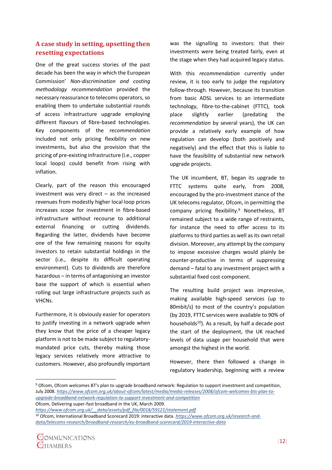#### <span id="page-14-0"></span>**A case study in setting, upsetting then resetting expectations**

One of the great success stories of the past decade has been the way in which the European Commission' *Non-discrimination and costing methodology recommendation* provided the necessary reassurance to telecoms operators, so enabling them to undertake substantial rounds of access infrastructure upgrade employing different flavours of fibre-based technologies. Key components of the *recommendation* included not only pricing flexibility on new investments, but also the provision that the pricing of pre-existing infrastructure (i.e., copper local loops) could benefit from rising with inflation.

Clearly, part of the reason this encouraged investment was very direct – as the increased revenues from modestly higher local loop prices increases scope for investment in fibre-based infrastructure without recourse to additional external financing or cutting dividends. Regarding the latter, dividends have become one of the few remaining reasons for equity investors to retain substantial holdings in the sector (i.e., despite its difficult operating environment). Cuts to dividends are therefore hazardous – in terms of antagonising an investor base the support of which is essential when rolling out large infrastructure projects such as VHCNs.

Furthermore, it is obviously easier for operators to justify investing in a network upgrade when they know that the price of a cheaper legacy platform is not to be made subject to regulatorymandated price cuts, thereby making those legacy services relatively more attractive to customers. However, also profoundly important

was the signalling to investors: that their investments were being treated fairly, even at the stage when they had acquired legacy status.

With this *recommendation* currently under review, it is too early to judge the regulatory follow-through. However, because its transition from basic ADSL services to an intermediate technology, fibre-to-the-cabinet (FTTC), took place slightly earlier (predating the *recommendation* by several years), the UK can provide a relatively early example of how regulation can develop (both positively and negatively) and the effect that this is liable to have the feasibility of substantial new network upgrade projects.

The UK incumbent, BT, began its upgrade to FTTC systems quite early, from 2008, encouraged by the pro-investment stance of the UK telecoms regulator, Ofcom, in permitting the company pricing flexibility.<sup>9</sup> Nonetheless, BT remained subject to a wide range of restraints, for instance the need to offer access to its platforms to third parties as well as its own retail division. Moreover, any attempt by the company to impose excessive charges would plainly be counter-productive in terms of suppressing demand – fatal to any investment project with a substantial fixed cost component.

The resulting build project was impressive, making available high-speed services (up to 80mbit/s) to most of the country's population (by 2019, FTTC services were available to 90% of households<sup>10</sup>). As a result, by half a decade post the start of the deployment, the UK reached levels of data usage per household that were amongst the highest in the world.

However, there then followed a change in regulatory leadership, beginning with a review

Ofcom, Delivering super-fast broadband in the UK, March 2009.

<sup>10</sup> Ofcom, International Broadband Scorecard 2019: interactive data. *[https://www.ofcom.org.uk/research-and](https://www.ofcom.org.uk/research-and-data/telecoms-research/broadband-research/eu-broadband-scorecard/2019-interactive-data)[data/telecoms-research/broadband-research/eu-broadband-scorecard/2019-interactive-data](https://www.ofcom.org.uk/research-and-data/telecoms-research/broadband-research/eu-broadband-scorecard/2019-interactive-data)*



<sup>9</sup> Ofcom, Ofcom welcomes BT's plan to upgrade broadband network: Regulation to support investment and competition, July 2008. *[https://www.ofcom.org.uk/about-ofcom/latest/media/media-releases/2008/ofcom-welcomes-bts-plan-to](https://www.ofcom.org.uk/about-ofcom/latest/media/media-releases/2008/ofcom-welcomes-bts-plan-to-upgrade-broadband-network-regulation-to-support-investment-and-competition)[upgrade-broadband-network-regulation-to-support-investment-and-competition](https://www.ofcom.org.uk/about-ofcom/latest/media/media-releases/2008/ofcom-welcomes-bts-plan-to-upgrade-broadband-network-regulation-to-support-investment-and-competition)*

*[https://www.ofcom.org.uk/\\_\\_data/assets/pdf\\_file/0018/59121/statement.pdf](https://www.ofcom.org.uk/__data/assets/pdf_file/0018/59121/statement.pdf)*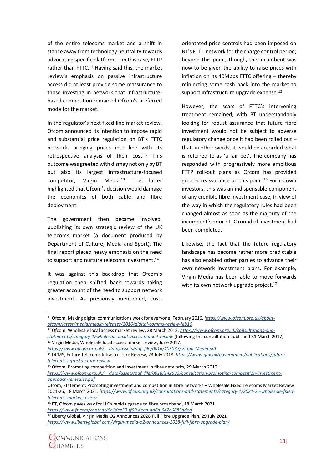of the entire telecoms market and a shift in stance away from technology neutrality towards advocating specific platforms – in this case, FTTP rather than FTTC.<sup>11</sup> Having said this, the market review's emphasis on passive infrastructure access did at least provide some reassurance to those investing in network that infrastructurebased competition remained Ofcom's preferred mode for the market.

In the regulator's next fixed-line market review, Ofcom announced its intention to impose rapid and substantial price regulation on BT's FTTC network, bringing prices into line with its retrospective analysis of their cost.<sup>12</sup> This outcome was greeted with dismay not only by BT but also its largest infrastructure-focused competitor, Virgin Media.<sup>13</sup> The latter highlighted that Ofcom's decision would damage the economics of both cable and fibre deployment.

The government then became involved, publishing its own strategic review of the UK telecoms market (a document produced by Department of Culture, Media and Sport). The final report placed heavy emphasis on the need to support and nurture telecoms investment.<sup>14</sup>

It was against this backdrop that Ofcom's regulation then shifted back towards taking greater account of the need to support network investment. As previously mentioned, costorientated price controls had been imposed on BT's FTTC network for the charge control period; beyond this point, though, the incumbent was now to be given the ability to raise prices with inflation on its 40Mbps FTTC offering – thereby reinjecting some cash back into the market to support infrastructure upgrade expense.<sup>15</sup>

However, the scars of FTTC's intervening treatment remained, with BT understandably looking for robust assurance that future fibre investment would not be subject to adverse regulatory change once it had been rolled out – that, in other words, it would be accorded what is referred to as 'a fair bet'. The company has responded with progressively more ambitious FTTP roll-out plans as Ofcom has provided greater reassurance on this point. <sup>16</sup> For its own investors, this was an indispensable component of any credible fibre investment case, in view of the way in which the regulatory rules had been changed almost as soon as the majority of the incumbent's prior FTTC round of investment had been completed.

Likewise, the fact that the future regulatory landscape has become rather more predictable has also enabled other parties to advance their own network investment plans. For example, Virgin Media has been able to move forwards with its own network upgrade project.<sup>17</sup>

<sup>12</sup> Ofcom, Wholesale local access market review, 28 March 2018. *[https://www.ofcom.org.uk/consultations-and](https://www.ofcom.org.uk/consultations-and-statements/category-1/wholesale-local-access-market-review)[statements/category-1/wholesale-local-access-market-review](https://www.ofcom.org.uk/consultations-and-statements/category-1/wholesale-local-access-market-review)* (following the consultation published 31 March 2017) <sup>13</sup> Virgin Media, Wholesale local access market review, June 2017.



<sup>11</sup> Ofcom, Making digital communications work for everyone, February 2016. *[https://www.ofcom.org.uk/about](https://www.ofcom.org.uk/about-ofcom/latest/media/media-releases/2016/digital-comms-review-feb16)[ofcom/latest/media/media-releases/2016/digital-comms-review-feb16](https://www.ofcom.org.uk/about-ofcom/latest/media/media-releases/2016/digital-comms-review-feb16)*

*[https://www.ofcom.org.uk/\\_\\_data/assets/pdf\\_file/0016/105037/Virgin-Media.pdf](https://www.ofcom.org.uk/__data/assets/pdf_file/0016/105037/Virgin-Media.pdf)*

<sup>14</sup> DCMS, Future Telecoms Infrastructure Review, 23 July 2018. *[https://www.gov.uk/government/publications/future](https://www.gov.uk/government/publications/future-telecoms-infrastructure-review)[telecoms-infrastructure-review](https://www.gov.uk/government/publications/future-telecoms-infrastructure-review)*

<sup>&</sup>lt;sup>15</sup> Ofcom, Promoting competition and investment in fibre networks, 29 March 2019.

*[https://www.ofcom.org.uk/\\_\\_data/assets/pdf\\_file/0018/142533/consultation-promoting-competition-investment](https://www.ofcom.org.uk/__data/assets/pdf_file/0018/142533/consultation-promoting-competition-investment-approach-remedies.pdf)[approach-remedies.pdf](https://www.ofcom.org.uk/__data/assets/pdf_file/0018/142533/consultation-promoting-competition-investment-approach-remedies.pdf)*

Ofcom, Statement: Promoting investment and competition in fibre networks – Wholesale Fixed Telecoms Market Review 2021-26, 18 March 2021. *[https://www.ofcom.org.uk/consultations-and-statements/category-1/2021-26-wholesale-fixed](https://www.ofcom.org.uk/consultations-and-statements/category-1/2021-26-wholesale-fixed-telecoms-market-review)[telecoms-market-review](https://www.ofcom.org.uk/consultations-and-statements/category-1/2021-26-wholesale-fixed-telecoms-market-review)*

<sup>&</sup>lt;sup>16</sup> FT, Ofcom paves way for UK's rapid upgrade to fibre broadband, 18 March 2021. *<https://www.ft.com/content/5c1dce39-ff99-4eed-ad6d-042e6683dded>*

<sup>&</sup>lt;sup>17</sup> Liberty Global, Virgin Media O2 Announces 2028 Full Fibre Upgrade Plan, 29 July 2021. *<https://www.libertyglobal.com/virgin-media-o2-announces-2028-full-fibre-upgrade-plan/>*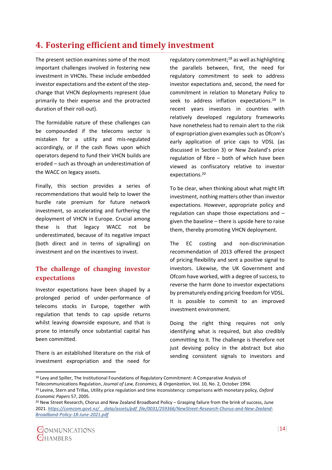## <span id="page-16-0"></span>**4. Fostering efficient and timely investment**

The present section examines some of the most important challenges involved in fostering new investment in VHCNs. These include embedded investor expectations and the extent of the stepchange that VHCN deployments represent (due primarily to their expense and the protracted duration of their roll-out).

The formidable nature of these challenges can be compounded if the telecoms sector is mistaken for a utility and mis-regulated accordingly, or if the cash flows upon which operators depend to fund their VHCN builds are eroded – such as through an underestimation of the WACC on legacy assets.

Finally, this section provides a series of recommendations that would help to lower the hurdle rate premium for future network investment, so accelerating and furthering the deployment of VHCN in Europe. Crucial among these is that legacy WACC not be underestimated, because of its negative impact (both direct and in terms of signalling) on investment and on the incentives to invest.

## <span id="page-16-1"></span>**The challenge of changing investor expectations**

Investor expectations have been shaped by a prolonged period of under-performance of telecoms stocks in Europe, together with regulation that tends to cap upside returns whilst leaving downside exposure, and that is prone to intensify once substantial capital has been committed.

There is an established literature on the risk of investment expropriation and the need for

regulatory commitment;<sup>18</sup> as well as highlighting the parallels between, first, the need for regulatory commitment to seek to address investor expectations and, second, the need for commitment in relation to Monetary Policy to seek to address inflation expectations. <sup>19</sup> In recent years investors in countries with relatively developed regulatory frameworks have nonetheless had to remain alert to the risk of expropriation given examples such as Ofcom's early application of price caps to VDSL (as discussed in Section 3) or New Zealand's price regulation of fibre – both of which have been viewed as confiscatory relative to investor expectations. 20

To be clear, when thinking about what might lift investment, nothing matters other than investor expectations. However, appropriate policy and regulation can shape those expectations and – given the baseline – there is upside here to raise them, thereby promoting VHCN deployment.

The EC costing and non-discrimination recommendation of 2013 offered the prospect of pricing flexibility and sent a positive signal to investors. Likewise, the UK Government and Ofcom have worked, with a degree of success, to reverse the harm done to investor expectations by prematurely ending pricing freedom for VDSL. It is possible to commit to an improved investment environment.

Doing the right thing requires not only identifying what is required, but also credibly committing to it. The challenge is therefore not just devising policy in the abstract but also sending consistent signals to investors and

 $20$  New Street Research, Chorus and New Zealand Broadband Policy – Grasping failure from the brink of success, June 2021. *[https://comcom.govt.nz/\\_\\_data/assets/pdf\\_file/0031/259366/NewStreet-Research-Chorus-and-New-Zealand-](https://comcom.govt.nz/__data/assets/pdf_file/0031/259366/NewStreet-Research-Chorus-and-New-Zealand-Broadband-Policy-18-June-2021.pdf)[Broadband-Policy-18-June-2021.pdf](https://comcom.govt.nz/__data/assets/pdf_file/0031/259366/NewStreet-Research-Chorus-and-New-Zealand-Broadband-Policy-18-June-2021.pdf)*



<sup>18</sup> Levy and Spiller, The Institutional Foundations of Regulatory Commitment: A Comparative Analysis of Telecommunications Regulation, *Journal of Law, Economics, & Organization*, Vol. 10, No. 2, October 1994. <sup>19</sup> Levine, Stern and Trillas, Utility price regulation and time inconsistency: comparisons with monetary policy, *Oxford Economic Papers* 57, 2005.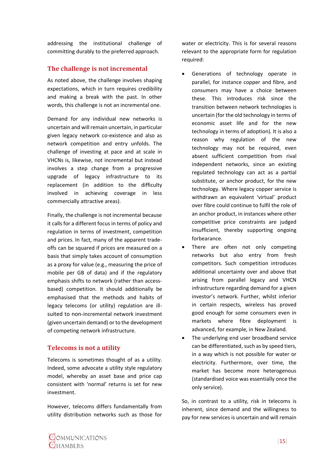addressing the institutional challenge of committing durably to the preferred approach.

#### <span id="page-17-0"></span>**The challenge is not incremental**

As noted above, the challenge involves shaping expectations, which in turn requires credibility and making a break with the past. In other words, this challenge is not an incremental one.

Demand for any individual new networks is uncertain and will remain uncertain, in particular given legacy network co-existence and also as network competition and entry unfolds. The challenge of investing at pace and at scale in VHCNs is, likewise, not incremental but instead involves a step change from a progressive upgrade of legacy infrastructure to its replacement (in addition to the difficulty involved in achieving coverage in less commercially attractive areas).

Finally, the challenge is not incremental because it calls for a different focus in terms of policy and regulation in terms of investment, competition and prices. In fact, many of the apparent tradeoffs can be squared if prices are measured on a basis that simply takes account of consumption as a proxy for value (e.g., measuring the price of mobile per GB of data) and if the regulatory emphasis shifts to network (rather than accessbased) competition. It should additionally be emphasised that the methods and habits of legacy telecoms (or utility) regulation are illsuited to non-incremental network investment (given uncertain demand) or to the development of competing network infrastructure.

### <span id="page-17-1"></span>**Telecoms is not a utility**

Telecoms is sometimes thought of as a utility. Indeed, some advocate a utility style regulatory model, whereby an asset base and price cap consistent with 'normal' returns is set for new investment.

However, telecoms differs fundamentally from utility distribution networks such as those for

water or electricity. This is for several reasons relevant to the appropriate form for regulation required:

- Generations of technology operate in parallel, for instance copper and fibre, and consumers may have a choice between these. This introduces risk since the transition between network technologies is uncertain (for the old technology in terms of economic asset life and for the new technology in terms of adoption). It is also a reason why regulation of the new technology may not be required, even absent sufficient competition from rival independent networks, since an existing regulated technology can act as a partial substitute, or anchor product, for the new technology. Where legacy copper service is withdrawn an equivalent 'virtual' product over fibre could continue to fulfil the role of an anchor product, in instances where other competitive price constraints are judged insufficient, thereby supporting ongoing forbearance.
- There are often not only competing networks but also entry from fresh competitors. Such competition introduces additional uncertainty over and above that arising from parallel legacy and VHCN infrastructure regarding demand for a given investor's network. Further, whilst inferior in certain respects, wireless has proved good enough for some consumers even in markets where fibre deployment is advanced, for example, in New Zealand.
- The underlying end user broadband service can be differentiated, such as by speed tiers, in a way which is not possible for water or electricity. Furthermore, over time, the market has become more heterogenous (standardised voice was essentially once the only service).

So, in contrast to a utility, risk in telecoms is inherent, since demand and the willingness to pay for new services is uncertain and will remain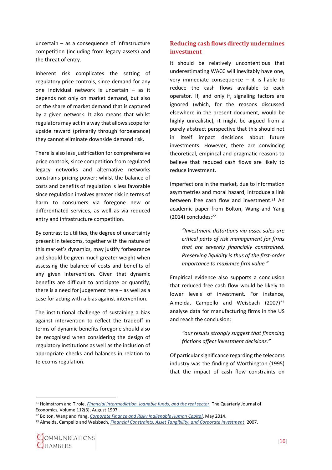uncertain – as a consequence of infrastructure competition (including from legacy assets) and the threat of entry.

Inherent risk complicates the setting of regulatory price controls, since demand for any one individual network is uncertain – as it depends not only on market demand, but also on the share of market demand that is captured by a given network. It also means that whilst regulators may act in a way that allows scope for upside reward (primarily through forbearance) they cannot eliminate downside demand risk.

There is also less justification for comprehensive price controls, since competition from regulated legacy networks and alternative networks constrains pricing power; whilst the balance of costs and benefits of regulation is less favorable since regulation involves greater risk in terms of harm to consumers via foregone new or differentiated services, as well as via reduced entry and infrastructure competition.

By contrast to utilities, the degree of uncertainty present in telecoms, together with the nature of this market's dynamics, may justify forbearance and should be given much greater weight when assessing the balance of costs and benefits of any given intervention. Given that dynamic benefits are difficult to anticipate or quantify, there is a need for judgement here – as well as a case for acting with a bias against intervention.

The institutional challenge of sustaining a bias against intervention to reflect the tradeoff in terms of dynamic benefits foregone should also be recognised when considering the design of regulatory institutions as well as the inclusion of appropriate checks and balances in relation to telecoms regulation.

#### <span id="page-18-0"></span>**Reducing cash flows directly undermines investment**

It should be relatively uncontentious that underestimating WACC will inevitably have one, very immediate consequence  $-$  it is liable to reduce the cash flows available to each operator. If, and only if, signaling factors are ignored (which, for the reasons discussed elsewhere in the present document, would be highly unrealistic), it might be argued from a purely abstract perspective that this should not in itself impact decisions about future investments. However, there are convincing theoretical, empirical and pragmatic reasons to believe that reduced cash flows are likely to reduce investment.

Imperfections in the market, due to information asymmetries and moral hazard, introduce a link between free cash flow and investment.<sup>21</sup> An academic paper from Bolton, Wang and Yang (2014) concludes:<sup>22</sup>

*"Investment distortions via asset sales are critical parts of risk management for firms that are severely financially constrained. Preserving liquidity is thus of the first-order importance to maximize firm value."*

Empirical evidence also supports a conclusion that reduced free cash flow would be likely to lower levels of investment. For instance, Almeida, Campello and Weisbach (2007)<sup>23</sup> analyse data for manufacturing firms in the US and reach the conclusion:

> *"our results strongly suggest that financing frictions affect investment decisions."*

Of particular significance regarding the telecoms industry was the finding of Worthington (1995) that the impact of cash flow constraints on

<sup>21</sup> Holmstrom and Tirole, *[Financial Intermediation, loanable funds, and the real sector](http://www.uh.edu/~bsorense/HolmStromTiroleQJE97.pdf)*, The Quarterly Journal of Economics, Volume 112(3), August 1997.

<sup>22</sup> Bolton, Wang and Yang, *[Corporate Finance and Risky Inalienable Human Capital](http://cafr-sif.com/2014/2014selectpapers/Bolton_Wang_Yang_Oxford_2014.pdf)*, May 2014.

<sup>23</sup> Almeida, Campello and Weisbach, *[Financial Constraints, Asset Tangibility, and Corporate Investment](https://business.illinois.edu/halmeida/Tangib.pdf)*, 2007.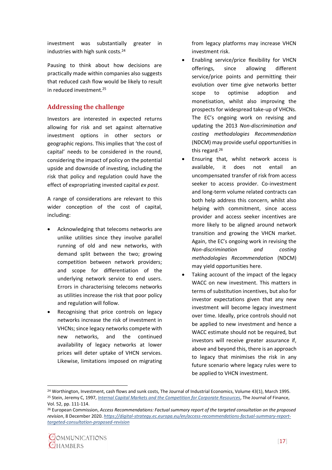investment was substantially greater in industries with high sunk costs.<sup>24</sup>

Pausing to think about how decisions are practically made within companies also suggests that reduced cash flow would be likely to result in reduced investment.<sup>25</sup>

#### <span id="page-19-0"></span>**Addressing the challenge**

Investors are interested in expected returns allowing for risk and set against alternative investment options in other sectors or geographic regions. This implies that 'the cost of capital' needs to be considered in the round, considering the impact of policy on the potential upside and downside of investing, including the risk that policy and regulation could have the effect of expropriating invested capital *ex post*.

A range of considerations are relevant to this wider conception of the cost of capital, including:

- Acknowledging that telecoms networks are unlike utilities since they involve parallel running of old and new networks, with demand split between the two; growing competition between network providers; and scope for differentiation of the underlying network service to end users. Errors in characterising telecoms networks as utilities increase the risk that poor policy and regulation will follow.
- Recognising that price controls on legacy networks increase the risk of investment in VHCNs; since legacy networks compete with new networks, and the continued availability of legacy networks at lower prices will deter uptake of VHCN services. Likewise, limitations imposed on migrating

from legacy platforms may increase VHCN investment risk.

- Enabling service/price flexibility for VHCN offerings, since allowing different service/price points and permitting their evolution over time give networks better scope to optimise adoption and monetisation, whilst also improving the prospects for widespread take-up of VHCNs. The EC's ongoing work on revising and updating the 2013 *Non-discrimination and costing methodologies Recommendation* (NDCM) may provide useful opportunities in this regard.<sup>26</sup>
- Ensuring that, whilst network access is available, it does not entail an uncompensated transfer of risk from access seeker to access provider. Co-investment and long-term volume related contracts can both help address this concern, whilst also helping with commitment, since access provider and access seeker incentives are more likely to be aligned around network transition and growing the VHCN market. Again, the EC's ongoing work in revising the *Non-discrimination and costing methodologies Recommendation* (NDCM) may yield opportunities here.
- Taking account of the impact of the legacy WACC on new investment. This matters in terms of substitution incentives, but also for investor expectations given that any new investment will become legacy investment over time. Ideally, price controls should not be applied to new investment and hence a WACC estimate should not be required, but investors will receive greater assurance if, above and beyond this, there is an approach to legacy that minimises the risk in any future scenario where legacy rules were to be applied to VHCN investment.

<sup>&</sup>lt;sup>24</sup> Worthington, Investment, cash flows and sunk costs, The Journal of Industrial Economics, Volume 43(1), March 1995. <sup>25</sup> Stein, Jeremy C, 1997, *[Internal Capital Markets and the Competition for Corporate Resources](https://scholar.harvard.edu/files/stein/files/internal-capital-markets-jf-march-97.pdf)*, The Journal of Finance, Vol. 52, pp. 111-114.

<sup>26</sup> European Commission, *Access Recommendations: Factual summary report of the targeted consultation on the proposed revision*, 8 December 2020. *[https://digital-strategy.ec.europa.eu/en/access-recommendations-factual-summary-report](https://digital-strategy.ec.europa.eu/en/access-recommendations-factual-summary-report-targeted-consultation-proposed-revision)[targeted-consultation-proposed-revision](https://digital-strategy.ec.europa.eu/en/access-recommendations-factual-summary-report-targeted-consultation-proposed-revision)*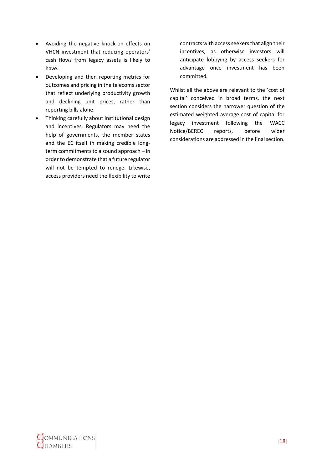- Avoiding the negative knock-on effects on VHCN investment that reducing operators' cash flows from legacy assets is likely to have.
- Developing and then reporting metrics for outcomes and pricing in the telecoms sector that reflect underlying productivity growth and declining unit prices, rather than reporting bills alone.
- Thinking carefully about institutional design and incentives. Regulators may need the help of governments, the member states and the EC itself in making credible longterm commitments to a sound approach – in order to demonstrate that a future regulator will not be tempted to renege. Likewise, access providers need the flexibility to write

contracts with access seekers that align their incentives, as otherwise investors will anticipate lobbying by access seekers for advantage once investment has been committed.

Whilst all the above are relevant to the 'cost of capital' conceived in broad terms, the next section considers the narrower question of the estimated weighted average cost of capital for legacy investment following the WACC Notice/BEREC reports, before wider considerations are addressed in the final section.

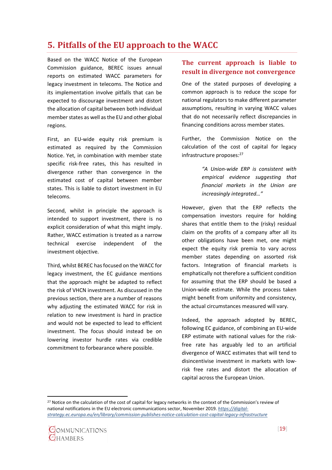## <span id="page-21-0"></span>**5. Pitfalls of the EU approach to the WACC**

Based on the WACC Notice of the European Commission guidance, BEREC issues annual reports on estimated WACC parameters for legacy investment in telecoms. The Notice and its implementation involve pitfalls that can be expected to discourage investment and distort the allocation of capital between both individual member states as well as the EU and other global regions.

First, an EU-wide equity risk premium is estimated as required by the Commission Notice. Yet, in combination with member state specific risk-free rates, this has resulted in divergence rather than convergence in the estimated cost of capital between member states. This is liable to distort investment in EU telecoms.

Second, whilst in principle the approach is intended to support investment, there is no explicit consideration of what this might imply. Rather, WACC estimation is treated as a narrow technical exercise independent of the investment objective.

Third, whilst BEREC has focused on the WACC for legacy investment, the EC guidance mentions that the approach might be adapted to reflect the risk of VHCN investment. As discussed in the previous section, there are a number of reasons why adjusting the estimated WACC for risk in relation to new investment is hard in practice and would not be expected to lead to efficient investment. The focus should instead be on lowering investor hurdle rates via credible commitment to forbearance where possible.

#### <span id="page-21-1"></span>**The current approach is liable to result in divergence not convergence**

One of the stated purposes of developing a common approach is to reduce the scope for national regulators to make different parameter assumptions, resulting in varying WACC values that do not necessarily reflect discrepancies in financing conditions across member states.

Further, the Commission Notice on the calculation of the cost of capital for legacy infrastructure proposes:<sup>27</sup>

> *"A Union-wide ERP is consistent with empirical evidence suggesting that financial markets in the Union are increasingly integrated…"*

However, given that the ERP reflects the compensation investors require for holding shares that entitle them to the (risky) residual claim on the profits of a company after all its other obligations have been met, one might expect the equity risk premia to vary across member states depending on assorted risk factors. Integration of financial markets is emphatically not therefore a sufficient condition for assuming that the ERP should be based a Union-wide estimate. While the process taken might benefit from uniformity and consistency, the actual circumstances measured will vary.

Indeed, the approach adopted by BEREC, following EC guidance, of combining an EU-wide ERP estimate with national values for the riskfree rate has arguably led to an artificial divergence of WACC estimates that will tend to disincentivise investment in markets with lowrisk free rates and distort the allocation of capital across the European Union.

<sup>27</sup> Notice on the calculation of the cost of capital for legacy networks in the context of the Commission's review of national notifications in the EU electronic communications sector, November 2019. *[https://digital](https://digital-strategy.ec.europa.eu/en/library/commission-publishes-notice-calculation-cost-capital-legacy-infrastructure)[strategy.ec.europa.eu/en/library/commission-publishes-notice-calculation-cost-capital-legacy-infrastructure](https://digital-strategy.ec.europa.eu/en/library/commission-publishes-notice-calculation-cost-capital-legacy-infrastructure)*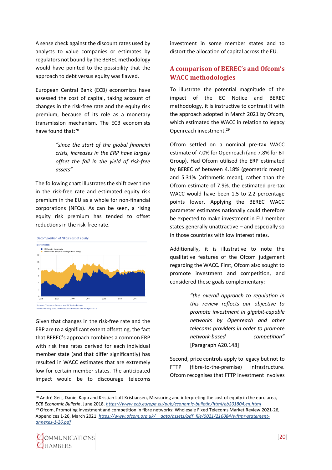A sense check against the discount rates used by analysts to value companies or estimates by regulators not bound by the BEREC methodology would have pointed to the possibility that the approach to debt versus equity was flawed.

European Central Bank (ECB) economists have assessed the cost of capital, taking account of changes in the risk-free rate and the equity risk premium, because of its role as a monetary transmission mechanism. The ECB economists have found that: 28

> *"since the start of the global financial crisis, increases in the ERP have largely offset the fall in the yield of risk-free assets"*

The following chart illustrates the shift over time in the risk-free rate and estimated equity risk premium in the EU as a whole for non-financial corporations (NFCs). As can be seen, a rising equity risk premium has tended to offset reductions in the risk-free rate.



Given that changes in the risk-free rate and the ERP are to a significant extent offsetting, the fact that BEREC's approach combines a common ERP with risk free rates derived for each individual member state (and that differ significantly) has resulted in WACC estimates that are extremely low for certain member states. The anticipated impact would be to discourage telecoms

investment in some member states and to distort the allocation of capital across the EU.

### <span id="page-22-0"></span>**A comparison of BEREC's and Ofcom's WACC methodologies**

To illustrate the potential magnitude of the impact of the EC Notice and BEREC methodology, it is instructive to contrast it with the approach adopted in March 2021 by Ofcom, which estimated the WACC in relation to legacy Openreach investment.<sup>29</sup>

Ofcom settled on a nominal pre-tax WACC estimate of 7.0% for Openreach (and 7.8% for BT Group). Had Ofcom utilised the ERP estimated by BEREC of between 4.18% (geometric mean) and 5.31% (arithmetic mean), rather than the Ofcom estimate of 7.9%, the estimated pre-tax WACC would have been 1.5 to 2.2 percentage points lower. Applying the BEREC WACC parameter estimates nationally could therefore be expected to make investment in EU member states generally unattractive – and especially so in those countries with low interest rates.

Additionally, it is illustrative to note the qualitative features of the Ofcom judgement regarding the WACC. First, Ofcom also sought to promote investment and competition, and considered these goals complementary:

> *"the overall approach to regulation in this review reflects our objective to promote investment in gigabit-capable networks by Openreach and other telecoms providers in order to promote network-based competition"*  [Paragraph A20.148]

Second, price controls apply to legacy but not to FTTP (fibre-to-the-premise) infrastructure. Ofcom recognises that FTTP investment involves

<sup>&</sup>lt;sup>28</sup> André Geis, Daniel Kapp and Kristian Loft Kristiansen, Measuring and interpreting the cost of equity in the euro area, *ECB Economic Bulletin*, June 2018. *<https://www.ecb.europa.eu/pub/economic-bulletin/html/eb201804.en.html>* <sup>29</sup> Ofcom, Promoting investment and competition in fibre networks: Wholesale Fixed Telecoms Market Review 2021-26, Appendices 1-26, March 2021. *[https://www.ofcom.org.uk/\\_\\_data/assets/pdf\\_file/0021/216084/wftmr-statement](https://www.ofcom.org.uk/__data/assets/pdf_file/0021/216084/wftmr-statement-annexes-1-26.pdf)[annexes-1-26.pdf](https://www.ofcom.org.uk/__data/assets/pdf_file/0021/216084/wftmr-statement-annexes-1-26.pdf)*

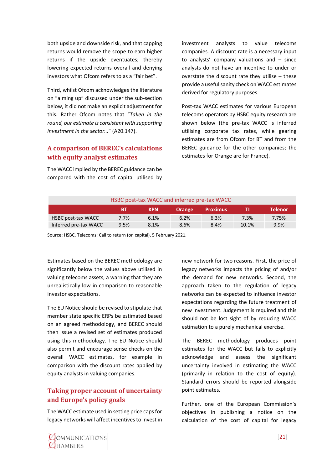both upside and downside risk, and that capping returns would remove the scope to earn higher returns if the upside eventuates; thereby lowering expected returns overall and denying investors what Ofcom refers to as a "fair bet".

Third, whilst Ofcom acknowledges the literature on "aiming up" discussed under the sub-section below, it did not make an explicit adjustment for this. Rather Ofcom notes that "*Taken in the round, our estimate is consistent with supporting investment in the sector…*" (A20.147).

#### <span id="page-23-0"></span>**A comparison of BEREC's calculations with equity analyst estimates**

The WACC implied by the BEREC guidance can be compared with the cost of capital utilised by investment analysts to value telecoms companies. A discount rate is a necessary input to analysts' company valuations and – since analysts do not have an incentive to under or overstate the discount rate they utilise – these provide a useful sanity check on WACC estimates derived for regulatory purposes.

Post-tax WACC estimates for various European telecoms operators by HSBC equity research are shown below (the pre-tax WACC is inferred utilising corporate tax rates, while gearing estimates are from Ofcom for BT and from the BEREC guidance for the other companies; the estimates for Orange are for France).

| HSBC post-tax WACC and inferred pre-tax WACC |      |            |               |                 |       |                |  |  |  |  |
|----------------------------------------------|------|------------|---------------|-----------------|-------|----------------|--|--|--|--|
|                                              | ВT   | <b>KPN</b> | <b>Orange</b> | <b>Proximus</b> |       | <b>Telenor</b> |  |  |  |  |
| <b>HSBC post-tax WACC</b>                    | 7.7% | 6.1%       | 6.2%          | 6.3%            | 7.3%  | 7.75%          |  |  |  |  |
| Inferred pre-tax WACC                        | 9.5% | 8.1%       | 8.6%          | 8.4%            | 10.1% | 9.9%           |  |  |  |  |

Source: HSBC, Telecoms: Call to return (on capital), 5 February 2021.

Estimates based on the BEREC methodology are significantly below the values above utilised in valuing telecoms assets, a warning that they are unrealistically low in comparison to reasonable investor expectations.

The EU Notice should be revised to stipulate that member state specific ERPs be estimated based on an agreed methodology, and BEREC should then issue a revised set of estimates produced using this methodology. The EU Notice should also permit and encourage sense checks on the overall WACC estimates, for example in comparison with the discount rates applied by equity analysts in valuing companies.

### <span id="page-23-1"></span>**Taking proper account of uncertainty and Europe's policy goals**

The WACC estimate used in setting price caps for legacy networks will affect incentives to invest in new network for two reasons. First, the price of legacy networks impacts the pricing of and/or the demand for new networks. Second, the approach taken to the regulation of legacy networks can be expected to influence investor expectations regarding the future treatment of new investment. Judgement is required and this should not be lost sight of by reducing WACC estimation to a purely mechanical exercise.

The BEREC methodology produces point estimates for the WACC but fails to explicitly acknowledge and assess the significant uncertainty involved in estimating the WACC (primarily in relation to the cost of equity). Standard errors should be reported alongside point estimates.

Further, one of the European Commission's objectives in publishing a notice on the calculation of the cost of capital for legacy

COMMUNICATIONS **OHAMBERS**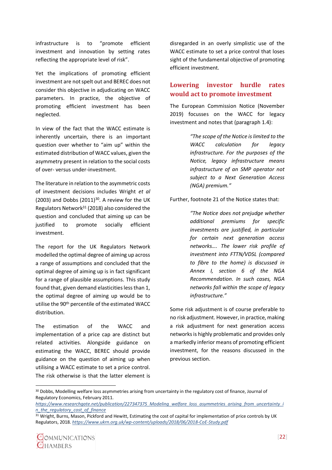infrastructure is to "promote efficient investment and innovation by setting rates reflecting the appropriate level of risk".

Yet the implications of promoting efficient investment are not spelt out and BEREC does not consider this objective in adjudicating on WACC parameters. In practice, the objective of promoting efficient investment has been neglected.

In view of the fact that the WACC estimate is inherently uncertain, there is an important question over whether to "aim up" within the estimated distribution of WACC values, given the asymmetry present in relation to the social costs of over- versus under-investment.

The literature in relation to the asymmetric costs of investment decisions includes Wright *et al*  (2003) and Dobbs  $(2011)^{30}$ . A review for the UK Regulators Network<sup>31</sup> (2018) also considered the question and concluded that aiming up can be justified to promote socially efficient investment.

The report for the UK Regulators Network modelled the optimal degree of aiming up across a range of assumptions and concluded that the optimal degree of aiming up is in fact significant for a range of plausible assumptions. This study found that, given demand elasticities less than 1, the optimal degree of aiming up would be to utilise the 90th percentile of the estimated WACC distribution.

The estimation of the WACC and implementation of a price cap are distinct but related activities. Alongside guidance on estimating the WACC, BEREC should provide guidance on the question of aiming up when utilising a WACC estimate to set a price control. The risk otherwise is that the latter element is

disregarded in an overly simplistic use of the WACC estimate to set a price control that loses sight of the fundamental objective of promoting efficient investment.

#### <span id="page-24-0"></span>**Lowering investor hurdle rates would act to promote investment**

The European Commission Notice (November 2019) focusses on the WACC for legacy investment and notes that (paragraph 1.4):

> *"The scope of the Notice is limited to the WACC calculation for legacy infrastructure. For the purposes of the Notice, legacy infrastructure means infrastructure of an SMP operator not subject to a Next Generation Access (NGA) premium."*

Further, footnote 21 of the Notice states that:

*"The Notice does not prejudge whether additional premiums for specific investments are justified, in particular for certain next generation access networks…. The lower risk profile of investment into FTTN/VDSL (compared to fibre to the home) is discussed in Annex I, section 6 of the NGA Recommendation. In such cases, NGA networks fall within the scope of legacy infrastructure."*

Some risk adjustment is of course preferable to no risk adjustment. However, in practice, making a risk adjustment for next generation access networks is highly problematic and provides only a markedly inferior means of promoting efficient investment, for the reasons discussed in the previous section.

<sup>30</sup> Dobbs, Modelling welfare loss asymmetries arising from uncertainty in the regulatory cost of finance, Journal of Regulatory Economics, February 2011.

*[https://www.researchgate.net/publication/227347375\\_Modeling\\_welfare\\_loss\\_asymmetries\\_arising\\_from\\_uncertainty\\_i](https://www.researchgate.net/publication/227347375_Modeling_welfare_loss_asymmetries_arising_from_uncertainty_in_the_regulatory_cost_of_finance) [n\\_the\\_regulatory\\_cost\\_of\\_finance](https://www.researchgate.net/publication/227347375_Modeling_welfare_loss_asymmetries_arising_from_uncertainty_in_the_regulatory_cost_of_finance)*

<sup>&</sup>lt;sup>31</sup> Wright, Burns, Mason, Pickford and Hewitt, Estimating the cost of capital for implementation of price controls by UK Regulators, 2018. *<https://www.ukrn.org.uk/wp-content/uploads/2018/06/2018-CoE-Study.pdf>*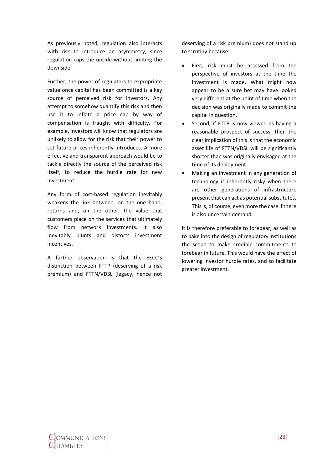As previously noted, regulation also interacts with risk to introduce an asymmetry, since regulation caps the upside without limiting the downside.

Further, the power of regulators to expropriate value once capital has been committed is a key source of perceived risk for investors. Any attempt to somehow quantify this risk and then use it to inflate a price cap by way of compensation is fraught with difficulty. For example, investors will know that regulators are unlikely to allow for the risk that their power to set future prices inherently introduces. A more effective and transparent approach would be to tackle directly the source of the perceived risk itself, to reduce the hurdle rate for new investment.

Any form of cost-based regulation inevitably weakens the link between, on the one hand, returns and, on the other, the value that customers place on the services that ultimately flow from network investments. It also inevitably blunts and distorts investment incentives.

A further observation is that the EECC's distinction between FTTP (deserving of a risk premium) and FTTN/VDSL (legacy, hence not

deserving of a risk premium) does not stand up to scrutiny because:

- First, risk must be assessed from the perspective of investors at the time the investment is made. What might now appear to be a sure bet may have looked very different at the point of time when the decision was originally made to commit the capital in question.
- Second, if FTTP is now viewed as having a reasonable prospect of success, then the clear implication of this is that the economic asset life of FTTN/VDSL will be significantly shorter than was originally envisaged at the time of its deployment.
- Making an investment in any generation of technology is inherently risky when there are other generations of infrastructure present that can act as potential substitutes. This is, of course, even more the case if there is also uncertain demand.

It is therefore preferable to forebear, as well as to bake into the design of regulatory institutions the scope to make credible commitments to forebear in future. This would have the effect of lowering investor hurdle rates, and so facilitate greater investment.

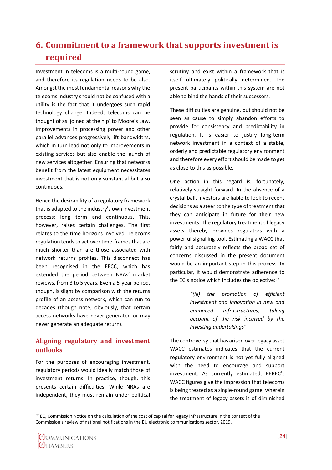# <span id="page-26-0"></span>**6. Commitment to a framework that supports investment is required**

Investment in telecoms is a multi-round game, and therefore its regulation needs to be also. Amongst the most fundamental reasons why the telecoms industry should not be confused with a utility is the fact that it undergoes such rapid technology change. Indeed, telecoms can be thought of as 'joined at the hip' to Moore's Law. Improvements in processing power and other parallel advances progressively lift bandwidths, which in turn lead not only to improvements in existing services but also enable the launch of new services altogether. Ensuring that networks benefit from the latest equipment necessitates investment that is not only substantial but also continuous.

Hence the desirability of a regulatory framework that is adapted to the industry's own investment process: long term and continuous. This, however, raises certain challenges. The first relates to the time horizons involved. Telecoms regulation tends to act over time-frames that are much shorter than are those associated with network returns profiles. This disconnect has been recognised in the EECC, which has extended the period between NRAs' market reviews, from 3 to 5 years. Even a 5-year period, though, is slight by comparison with the returns profile of an access network, which can run to decades (though note, obviously, that certain access networks have never generated or may never generate an adequate return).

### <span id="page-26-1"></span>**Aligning regulatory and investment outlooks**

For the purposes of encouraging investment, regulatory periods would ideally match those of investment returns. In practice, though, this presents certain difficulties. While NRAs are independent, they must remain under political

scrutiny and exist within a framework that is itself ultimately politically determined. The present participants within this system are not able to bind the hands of their successors.

These difficulties are genuine, but should not be seen as cause to simply abandon efforts to provide for consistency and predictability in regulation. It is easier to justify long-term network investment in a context of a stable, orderly and predictable regulatory environment and therefore every effort should be made to get as close to this as possible.

One action in this regard is, fortunately, relatively straight-forward. In the absence of a crystal ball, investors are liable to look to recent decisions as a steer to the type of treatment that they can anticipate in future for their new investments. The regulatory treatment of legacy assets thereby provides regulators with a powerful signalling tool. Estimating a WACC that fairly and accurately reflects the broad set of concerns discussed in the present document would be an important step in this process. In particular, it would demonstrate adherence to the EC's notice which includes the objective: 32

> *"(iii) the promotion of efficient investment and innovation in new and enhanced infrastructures, taking account of the risk incurred by the investing undertakings"*

The controversy that has arisen over legacy asset WACC estimates indicates that the current regulatory environment is not yet fully aligned with the need to encourage and support investment. As currently estimated, BEREC's WACC figures give the impression that telecoms is being treated as a single-round game, wherein the treatment of legacy assets is of diminished

 $32$  EC, Commission Notice on the calculation of the cost of capital for legacy infrastructure in the context of the Commission's review of national notifications in the EU electronic communications sector, 2019.